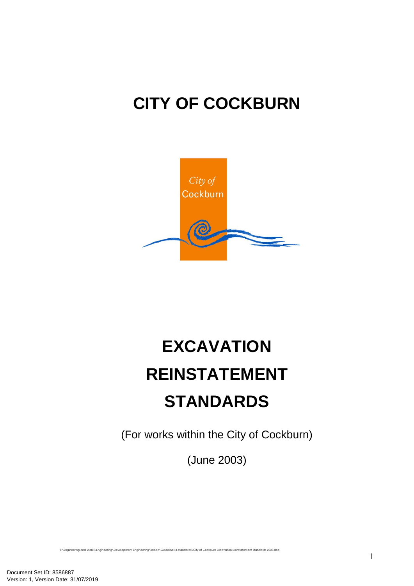# **CITY OF COCKBURN**



# **EXCAVATION REINSTATEMENT STANDARDS**

(For works within the City of Cockburn)

(June 2003)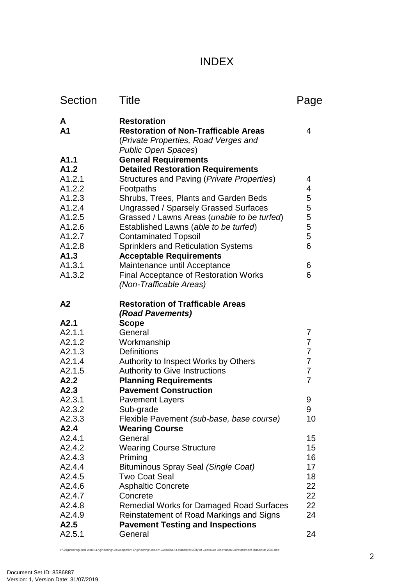# INDEX

| <b>Section</b>      | <b>Title</b>                                                                                                                            | Page                             |
|---------------------|-----------------------------------------------------------------------------------------------------------------------------------------|----------------------------------|
| A<br>A <sub>1</sub> | <b>Restoration</b><br><b>Restoration of Non-Trafficable Areas</b><br>(Private Properties, Road Verges and<br><b>Public Open Spaces)</b> | 4                                |
| A1.1                | <b>General Requirements</b>                                                                                                             |                                  |
| A1.2                | <b>Detailed Restoration Requirements</b>                                                                                                |                                  |
| A1.2.1              | Structures and Paving (Private Properties)                                                                                              | 4                                |
| A1.2.2              | Footpaths                                                                                                                               | 4                                |
| A1.2.3<br>A1.2.4    | Shrubs, Trees, Plants and Garden Beds                                                                                                   | 5<br>5                           |
| A1.2.5              | Ungrassed / Sparsely Grassed Surfaces<br>Grassed / Lawns Areas (unable to be turfed)                                                    | 5                                |
| A1.2.6              | Established Lawns (able to be turfed)                                                                                                   | 5                                |
| A1.2.7              | <b>Contaminated Topsoil</b>                                                                                                             | 5                                |
| A1.2.8              | <b>Sprinklers and Reticulation Systems</b>                                                                                              | 6                                |
| A1.3                | <b>Acceptable Requirements</b>                                                                                                          |                                  |
| A1.3.1              | Maintenance until Acceptance                                                                                                            | 6                                |
| A1.3.2              | <b>Final Acceptance of Restoration Works</b><br>(Non-Trafficable Areas)                                                                 | 6                                |
| A <sub>2</sub>      | <b>Restoration of Trafficable Areas</b><br>(Road Pavements)                                                                             |                                  |
| A2.1                | <b>Scope</b>                                                                                                                            |                                  |
| A2.1.1              | General                                                                                                                                 | 7                                |
| A2.1.2              | Workmanship                                                                                                                             | $\overline{7}$                   |
| A2.1.3              | <b>Definitions</b>                                                                                                                      | $\overline{7}$                   |
| A2.1.4              | Authority to Inspect Works by Others                                                                                                    | $\overline{7}$                   |
| A2.1.5<br>A2.2      | <b>Authority to Give Instructions</b><br><b>Planning Requirements</b>                                                                   | $\overline{7}$<br>$\overline{7}$ |
| A2.3                | <b>Pavement Construction</b>                                                                                                            |                                  |
| A2.3.1              | <b>Pavement Layers</b>                                                                                                                  | 9                                |
| A2.3.2              | Sub-grade                                                                                                                               | 9                                |
| A2.3.3              | Flexible Pavement (sub-base, base course)                                                                                               | 10                               |
| A2.4                | <b>Wearing Course</b>                                                                                                                   |                                  |
| A2.4.1              | General                                                                                                                                 | 15                               |
| A2.4.2              | <b>Wearing Course Structure</b>                                                                                                         | 15                               |
| A2.4.3              | Priming                                                                                                                                 | 16                               |
| A2.4.4              | Bituminous Spray Seal (Single Coat)                                                                                                     | 17                               |
| A2.4.5              | <b>Two Coat Seal</b>                                                                                                                    | 18                               |
| A2.4.6              | <b>Asphaltic Concrete</b>                                                                                                               | 22                               |
| A2.4.7              | Concrete                                                                                                                                | 22<br>22                         |
| A2.4.8<br>A2.4.9    | <b>Remedial Works for Damaged Road Surfaces</b><br>Reinstatement of Road Markings and Signs                                             | 24                               |
| A2.5                | <b>Pavement Testing and Inspections</b>                                                                                                 |                                  |
| A2.5.1              | General                                                                                                                                 | 24                               |
|                     |                                                                                                                                         |                                  |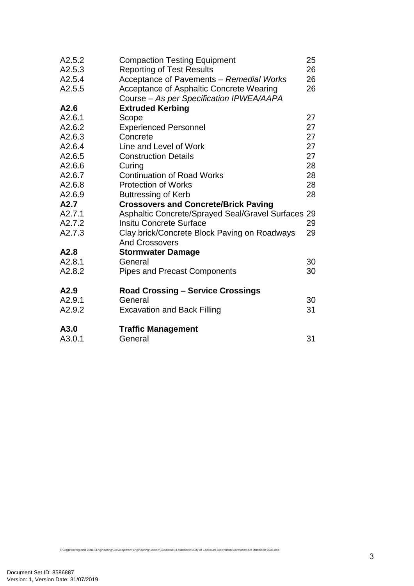| A2.5.2 | <b>Compaction Testing Equipment</b>                | 25 |
|--------|----------------------------------------------------|----|
| A2.5.3 | <b>Reporting of Test Results</b>                   | 26 |
| A2.5.4 | Acceptance of Pavements - Remedial Works           | 26 |
| A2.5.5 | Acceptance of Asphaltic Concrete Wearing           | 26 |
|        | Course - As per Specification IPWEA/AAPA           |    |
| A2.6   | <b>Extruded Kerbing</b>                            |    |
| A2.6.1 | Scope                                              | 27 |
| A2.6.2 | <b>Experienced Personnel</b>                       | 27 |
| A2.6.3 | Concrete                                           | 27 |
| A2.6.4 | Line and Level of Work                             | 27 |
| A2.6.5 | <b>Construction Details</b>                        | 27 |
| A2.6.6 | Curing                                             | 28 |
| A2.6.7 | <b>Continuation of Road Works</b>                  | 28 |
| A2.6.8 | <b>Protection of Works</b>                         | 28 |
| A2.6.9 | <b>Buttressing of Kerb</b>                         | 28 |
| A2.7   | <b>Crossovers and Concrete/Brick Paving</b>        |    |
| A2.7.1 | Asphaltic Concrete/Sprayed Seal/Gravel Surfaces 29 |    |
| A2.7.2 | <b>Insitu Concrete Surface</b>                     | 29 |
| A2.7.3 | Clay brick/Concrete Block Paving on Roadways       | 29 |
|        | <b>And Crossovers</b>                              |    |
| A2.8   | <b>Stormwater Damage</b>                           |    |
| A2.8.1 | General                                            | 30 |
| A2.8.2 | <b>Pipes and Precast Components</b>                | 30 |
| A2.9   | <b>Road Crossing - Service Crossings</b>           |    |
| A2.9.1 | General                                            | 30 |
| A2.9.2 | <b>Excavation and Back Filling</b>                 | 31 |
| A3.0   | <b>Traffic Management</b>                          |    |
| A3.0.1 | General                                            | 31 |
|        |                                                    |    |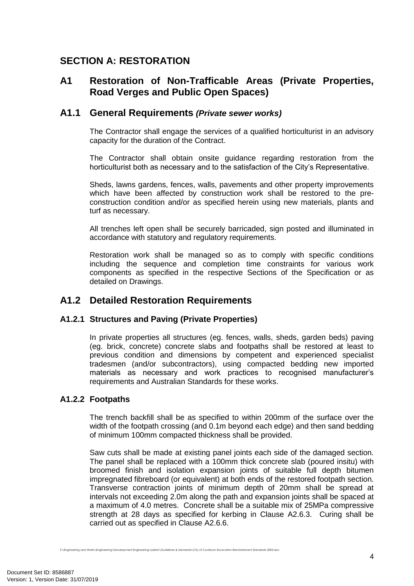# **SECTION A: RESTORATION**

# **A1 Restoration of Non-Trafficable Areas (Private Properties, Road Verges and Public Open Spaces)**

## **A1.1 General Requirements** *(Private sewer works)*

The Contractor shall engage the services of a qualified horticulturist in an advisory capacity for the duration of the Contract.

The Contractor shall obtain onsite guidance regarding restoration from the horticulturist both as necessary and to the satisfaction of the City's Representative.

Sheds, lawns gardens, fences, walls, pavements and other property improvements which have been affected by construction work shall be restored to the preconstruction condition and/or as specified herein using new materials, plants and turf as necessary.

All trenches left open shall be securely barricaded, sign posted and illuminated in accordance with statutory and regulatory requirements.

Restoration work shall be managed so as to comply with specific conditions including the sequence and completion time constraints for various work components as specified in the respective Sections of the Specification or as detailed on Drawings.

# **A1.2 Detailed Restoration Requirements**

## **A1.2.1 Structures and Paving (Private Properties)**

In private properties all structures (eg. fences, walls, sheds, garden beds) paving (eg. brick, concrete) concrete slabs and footpaths shall be restored at least to previous condition and dimensions by competent and experienced specialist tradesmen (and/or subcontractors), using compacted bedding new imported materials as necessary and work practices to recognised manufacturer's requirements and Australian Standards for these works.

## **A1.2.2 Footpaths**

The trench backfill shall be as specified to within 200mm of the surface over the width of the footpath crossing (and 0.1m beyond each edge) and then sand bedding of minimum 100mm compacted thickness shall be provided.

Saw cuts shall be made at existing panel joints each side of the damaged section. The panel shall be replaced with a 100mm thick concrete slab (poured insitu) with broomed finish and isolation expansion joints of suitable full depth bitumen impregnated fibreboard (or equivalent) at both ends of the restored footpath section. Transverse contraction joints of minimum depth of 20mm shall be spread at intervals not exceeding 2.0m along the path and expansion joints shall be spaced at a maximum of 4.0 metres. Concrete shall be a suitable mix of 25MPa compressive strength at 28 days as specified for kerbing in Clause A2.6.3. Curing shall be carried out as specified in Clause A2.6.6.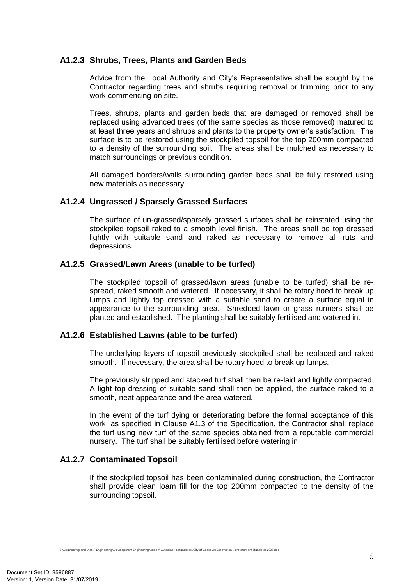## **A1.2.3 Shrubs, Trees, Plants and Garden Beds**

Advice from the Local Authority and City's Representative shall be sought by the Contractor regarding trees and shrubs requiring removal or trimming prior to any work commencing on site.

Trees, shrubs, plants and garden beds that are damaged or removed shall be replaced using advanced trees (of the same species as those removed) matured to at least three years and shrubs and plants to the property owner's satisfaction. The surface is to be restored using the stockpiled topsoil for the top 200mm compacted to a density of the surrounding soil. The areas shall be mulched as necessary to match surroundings or previous condition.

All damaged borders/walls surrounding garden beds shall be fully restored using new materials as necessary.

## **A1.2.4 Ungrassed / Sparsely Grassed Surfaces**

The surface of un-grassed/sparsely grassed surfaces shall be reinstated using the stockpiled topsoil raked to a smooth level finish. The areas shall be top dressed lightly with suitable sand and raked as necessary to remove all ruts and depressions.

#### **A1.2.5 Grassed/Lawn Areas (unable to be turfed)**

The stockpiled topsoil of grassed/lawn areas (unable to be turfed) shall be respread, raked smooth and watered. If necessary, it shall be rotary hoed to break up lumps and lightly top dressed with a suitable sand to create a surface equal in appearance to the surrounding area. Shredded lawn or grass runners shall be planted and established. The planting shall be suitably fertilised and watered in.

#### **A1.2.6 Established Lawns (able to be turfed)**

The underlying layers of topsoil previously stockpiled shall be replaced and raked smooth. If necessary, the area shall be rotary hoed to break up lumps.

The previously stripped and stacked turf shall then be re-laid and lightly compacted. A light top-dressing of suitable sand shall then be applied, the surface raked to a smooth, neat appearance and the area watered.

In the event of the turf dying or deteriorating before the formal acceptance of this work, as specified in Clause A1.3 of the Specification, the Contractor shall replace the turf using new turf of the same species obtained from a reputable commercial nursery. The turf shall be suitably fertilised before watering in.

## **A1.2.7 Contaminated Topsoil**

If the stockpiled topsoil has been contaminated during construction, the Contractor shall provide clean loam fill for the top 200mm compacted to the density of the surrounding topsoil.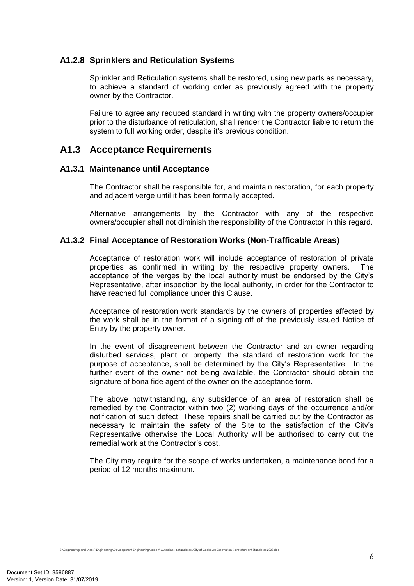## **A1.2.8 Sprinklers and Reticulation Systems**

Sprinkler and Reticulation systems shall be restored, using new parts as necessary, to achieve a standard of working order as previously agreed with the property owner by the Contractor.

Failure to agree any reduced standard in writing with the property owners/occupier prior to the disturbance of reticulation, shall render the Contractor liable to return the system to full working order, despite it's previous condition.

# **A1.3 Acceptance Requirements**

#### **A1.3.1 Maintenance until Acceptance**

The Contractor shall be responsible for, and maintain restoration, for each property and adjacent verge until it has been formally accepted.

Alternative arrangements by the Contractor with any of the respective owners/occupier shall not diminish the responsibility of the Contractor in this regard.

## **A1.3.2 Final Acceptance of Restoration Works (Non-Trafficable Areas)**

Acceptance of restoration work will include acceptance of restoration of private properties as confirmed in writing by the respective property owners. The acceptance of the verges by the local authority must be endorsed by the City's Representative, after inspection by the local authority, in order for the Contractor to have reached full compliance under this Clause.

Acceptance of restoration work standards by the owners of properties affected by the work shall be in the format of a signing off of the previously issued Notice of Entry by the property owner.

In the event of disagreement between the Contractor and an owner regarding disturbed services, plant or property, the standard of restoration work for the purpose of acceptance, shall be determined by the City's Representative. In the further event of the owner not being available, the Contractor should obtain the signature of bona fide agent of the owner on the acceptance form.

The above notwithstanding, any subsidence of an area of restoration shall be remedied by the Contractor within two (2) working days of the occurrence and/or notification of such defect. These repairs shall be carried out by the Contractor as necessary to maintain the safety of the Site to the satisfaction of the City's Representative otherwise the Local Authority will be authorised to carry out the remedial work at the Contractor's cost.

The City may require for the scope of works undertaken, a maintenance bond for a period of 12 months maximum.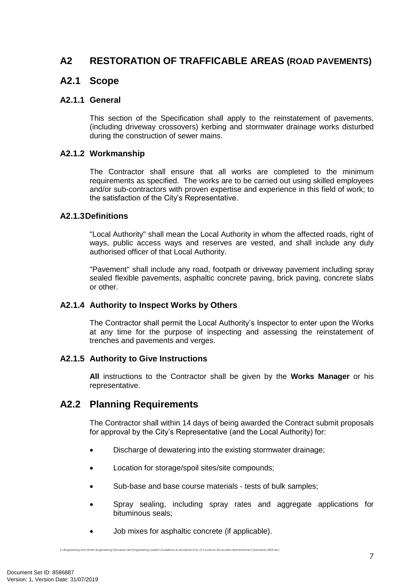# **A2 RESTORATION OF TRAFFICABLE AREAS (ROAD PAVEMENTS)**

## **A2.1 Scope**

#### **A2.1.1 General**

This section of the Specification shall apply to the reinstatement of pavements, (including driveway crossovers) kerbing and stormwater drainage works disturbed during the construction of sewer mains.

#### **A2.1.2 Workmanship**

The Contractor shall ensure that all works are completed to the minimum requirements as specified. The works are to be carried out using skilled employees and/or sub-contractors with proven expertise and experience in this field of work; to the satisfaction of the City's Representative.

#### **A2.1.3Definitions**

"Local Authority" shall mean the Local Authority in whom the affected roads, right of ways, public access ways and reserves are vested, and shall include any duly authorised officer of that Local Authority.

"Pavement" shall include any road, footpath or driveway pavement including spray sealed flexible pavements, asphaltic concrete paving, brick paving, concrete slabs or other.

## **A2.1.4 Authority to Inspect Works by Others**

The Contractor shall permit the Local Authority's Inspector to enter upon the Works at any time for the purpose of inspecting and assessing the reinstatement of trenches and pavements and verges.

## **A2.1.5 Authority to Give Instructions**

**All** instructions to the Contractor shall be given by the **Works Manager** or his representative.

## **A2.2 Planning Requirements**

The Contractor shall within 14 days of being awarded the Contract submit proposals for approval by the City's Representative (and the Local Authority) for:

- Discharge of dewatering into the existing stormwater drainage;
- Location for storage/spoil sites/site compounds;
- Sub-base and base course materials tests of bulk samples;
- Spray sealing, including spray rates and aggregate applications for bituminous seals;
- Job mixes for asphaltic concrete (if applicable).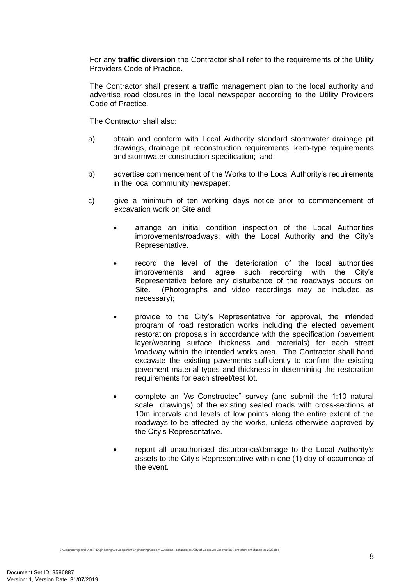For any **traffic diversion** the Contractor shall refer to the requirements of the Utility Providers Code of Practice.

The Contractor shall present a traffic management plan to the local authority and advertise road closures in the local newspaper according to the Utility Providers Code of Practice.

The Contractor shall also:

- a) obtain and conform with Local Authority standard stormwater drainage pit drawings, drainage pit reconstruction requirements, kerb-type requirements and stormwater construction specification; and
- b) advertise commencement of the Works to the Local Authority's requirements in the local community newspaper;
- c) give a minimum of ten working days notice prior to commencement of excavation work on Site and:
	- arrange an initial condition inspection of the Local Authorities improvements/roadways; with the Local Authority and the City's Representative.
	- record the level of the deterioration of the local authorities improvements and agree such recording with the City's Representative before any disturbance of the roadways occurs on Site. (Photographs and video recordings may be included as necessary);
	- provide to the City's Representative for approval, the intended program of road restoration works including the elected pavement restoration proposals in accordance with the specification (pavement layer/wearing surface thickness and materials) for each street \roadway within the intended works area. The Contractor shall hand excavate the existing pavements sufficiently to confirm the existing pavement material types and thickness in determining the restoration requirements for each street/test lot.
	- complete an "As Constructed" survey (and submit the 1:10 natural scale drawings) of the existing sealed roads with cross-sections at 10m intervals and levels of low points along the entire extent of the roadways to be affected by the works, unless otherwise approved by the City's Representative.
	- report all unauthorised disturbance/damage to the Local Authority's assets to the City's Representative within one (1) day of occurrence of the event.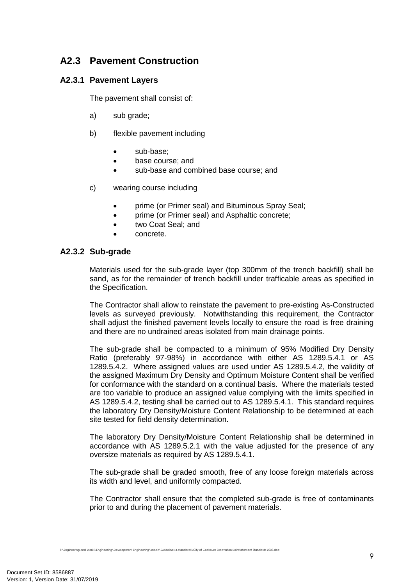# **A2.3 Pavement Construction**

## **A2.3.1 Pavement Layers**

The pavement shall consist of:

- a) sub grade;
- b) flexible pavement including
	- sub-base:
	- base course: and
	- sub-base and combined base course; and
- c) wearing course including
	- prime (or Primer seal) and Bituminous Spray Seal;
	- prime (or Primer seal) and Asphaltic concrete;
	- two Coat Seal; and
	- concrete.

#### **A2.3.2 Sub-grade**

Materials used for the sub-grade layer (top 300mm of the trench backfill) shall be sand, as for the remainder of trench backfill under trafficable areas as specified in the Specification.

The Contractor shall allow to reinstate the pavement to pre-existing As-Constructed levels as surveyed previously. Notwithstanding this requirement, the Contractor shall adjust the finished pavement levels locally to ensure the road is free draining and there are no undrained areas isolated from main drainage points.

The sub-grade shall be compacted to a minimum of 95% Modified Dry Density Ratio (preferably 97-98%) in accordance with either AS 1289.5.4.1 or AS 1289.5.4.2. Where assigned values are used under AS 1289.5.4.2, the validity of the assigned Maximum Dry Density and Optimum Moisture Content shall be verified for conformance with the standard on a continual basis. Where the materials tested are too variable to produce an assigned value complying with the limits specified in AS 1289.5.4.2, testing shall be carried out to AS 1289.5.4.1. This standard requires the laboratory Dry Density/Moisture Content Relationship to be determined at each site tested for field density determination.

The laboratory Dry Density/Moisture Content Relationship shall be determined in accordance with AS 1289.5.2.1 with the value adjusted for the presence of any oversize materials as required by AS 1289.5.4.1.

The sub-grade shall be graded smooth, free of any loose foreign materials across its width and level, and uniformly compacted.

The Contractor shall ensure that the completed sub-grade is free of contaminants prior to and during the placement of pavement materials.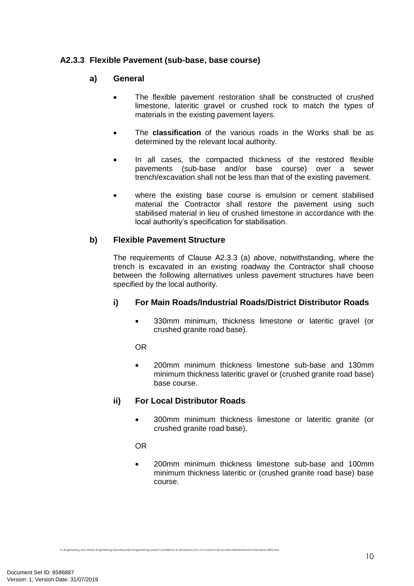## **A2.3.3 Flexible Pavement (sub-base, base course)**

#### **a) General**

- The flexible pavement restoration shall be constructed of crushed limestone, lateritic gravel or crushed rock to match the types of materials in the existing pavement layers.
- The **classification** of the various roads in the Works shall be as determined by the relevant local authority.
- In all cases, the compacted thickness of the restored flexible pavements (sub-base and/or base course) over a sewer trench/excavation shall not be less than that of the existing pavement.
- where the existing base course is emulsion or cement stabilised material the Contractor shall restore the pavement using such stabilised material in lieu of crushed limestone in accordance with the local authority's specification for stabilisation.

## **b) Flexible Pavement Structure**

The requirements of Clause A2.3.3 (a) above, notwithstanding, where the trench is excavated in an existing roadway the Contractor shall choose between the following alternatives unless pavement structures have been specified by the local authority.

## **i) For Main Roads/Industrial Roads/District Distributor Roads**

 330mm minimum, thickness limestone or lateritic gravel (or crushed granite road base).

OR

 200mm minimum thickness limestone sub-base and 130mm minimum thickness lateritic gravel or (crushed granite road base) base course.

## **ii) For Local Distributor Roads**

 300mm minimum thickness limestone or lateritic granite (or crushed granite road base).

OR

 200mm minimum thickness limestone sub-base and 100mm minimum thickness lateritic or (crushed granite road base) base course.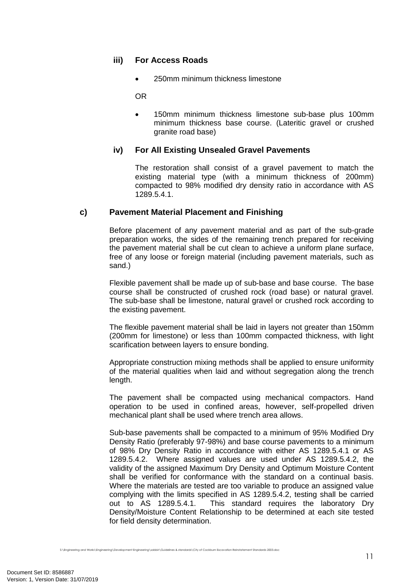## **iii) For Access Roads**

250mm minimum thickness limestone

OR

 150mm minimum thickness limestone sub-base plus 100mm minimum thickness base course. (Lateritic gravel or crushed granite road base)

## **iv) For All Existing Unsealed Gravel Pavements**

The restoration shall consist of a gravel pavement to match the existing material type (with a minimum thickness of 200mm) compacted to 98% modified dry density ratio in accordance with AS 1289.5.4.1.

#### **c) Pavement Material Placement and Finishing**

Before placement of any pavement material and as part of the sub-grade preparation works, the sides of the remaining trench prepared for receiving the pavement material shall be cut clean to achieve a uniform plane surface, free of any loose or foreign material (including pavement materials, such as sand.)

Flexible pavement shall be made up of sub-base and base course. The base course shall be constructed of crushed rock (road base) or natural gravel. The sub-base shall be limestone, natural gravel or crushed rock according to the existing pavement.

The flexible pavement material shall be laid in layers not greater than 150mm (200mm for limestone) or less than 100mm compacted thickness, with light scarification between layers to ensure bonding.

Appropriate construction mixing methods shall be applied to ensure uniformity of the material qualities when laid and without segregation along the trench length.

The pavement shall be compacted using mechanical compactors. Hand operation to be used in confined areas, however, self-propelled driven mechanical plant shall be used where trench area allows.

Sub-base pavements shall be compacted to a minimum of 95% Modified Dry Density Ratio (preferably 97-98%) and base course pavements to a minimum of 98% Dry Density Ratio in accordance with either AS 1289.5.4.1 or AS 1289.5.4.2. Where assigned values are used under AS 1289.5.4.2, the validity of the assigned Maximum Dry Density and Optimum Moisture Content shall be verified for conformance with the standard on a continual basis. Where the materials are tested are too variable to produce an assigned value complying with the limits specified in AS 1289.5.4.2, testing shall be carried out to AS 1289.5.4.1. This standard requires the laboratory Dry Density/Moisture Content Relationship to be determined at each site tested for field density determination.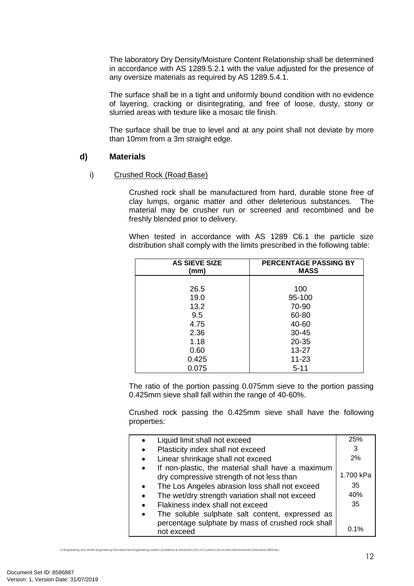The laboratory Dry Density/Moisture Content Relationship shall be determined in accordance with AS 1289.5.2.1 with the value adjusted for the presence of any oversize materials as required by AS 1289.5.4.1.

The surface shall be in a tight and uniformly bound condition with no evidence of layering, cracking or disintegrating, and free of loose, dusty, stony or slurried areas with texture like a mosaic tile finish.

The surface shall be true to level and at any point shall not deviate by more than 10mm from a 3m straight edge.

#### **d) Materials**

#### i) Crushed Rock (Road Base)

Crushed rock shall be manufactured from hard, durable stone free of clay lumps, organic matter and other deleterious substances. The material may be crusher run or screened and recombined and be freshly blended prior to delivery.

When tested in accordance with AS 1289 C6.1 the particle size distribution shall comply with the limits prescribed in the following table:

| <b>AS SIEVE SIZE</b><br>(mm) | <b>PERCENTAGE PASSING BY</b><br><b>MASS</b> |
|------------------------------|---------------------------------------------|
| 26.5                         | 100                                         |
| 19.0                         | 95-100                                      |
| 13.2                         | 70-90                                       |
| 9.5                          | 60-80                                       |
| 4.75                         | 40-60                                       |
| 2.36                         | $30 - 45$                                   |
| 1.18                         | $20 - 35$                                   |
| 0.60                         | $13 - 27$                                   |
| 0.425                        | 11-23                                       |
| 0.075                        | $5 - 11$                                    |

The ratio of the portion passing 0.075mm sieve to the portion passing 0.425mm sieve shall fall within the range of 40-60%.

Crushed rock passing the 0.425mm sieve shall have the following properties:

| Liquid limit shall not exceed                     | 25%       |
|---------------------------------------------------|-----------|
| Plasticity index shall not exceed                 | 3         |
| Linear shrinkage shall not exceed                 | 2%        |
| If non-plastic, the material shall have a maximum |           |
| dry compressive strength of not less than         | 1.700 kPa |
| The Los Angeles abrasion loss shall not exceed    | 35        |
| The wet/dry strength variation shall not exceed   | 40%       |
| Flakiness index shall not exceed                  | 35        |
| The soluble sulphate salt content, expressed as   |           |
| percentage sulphate by mass of crushed rock shall |           |
| not exceed                                        | $0.1\%$   |
|                                                   |           |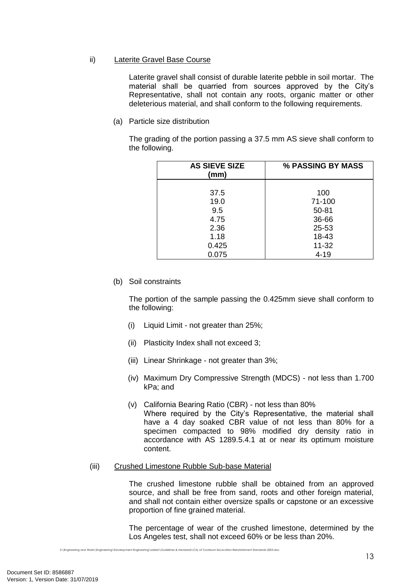#### ii) Laterite Gravel Base Course

Laterite gravel shall consist of durable laterite pebble in soil mortar. The material shall be quarried from sources approved by the City's Representative, shall not contain any roots, organic matter or other deleterious material, and shall conform to the following requirements.

(a) Particle size distribution

The grading of the portion passing a 37.5 mm AS sieve shall conform to the following.

| <b>AS SIEVE SIZE</b><br>(mm) | % PASSING BY MASS |
|------------------------------|-------------------|
| 37.5                         | 100               |
| 19.0                         | 71-100            |
| 9.5                          | $50 - 81$         |
| 4.75                         | 36-66             |
| 2.36                         | 25-53             |
| 1.18                         | 18-43             |
| 0.425                        | $11 - 32$         |
| 0.075                        | $4 - 19$          |

(b) Soil constraints

The portion of the sample passing the 0.425mm sieve shall conform to the following:

- (i) Liquid Limit not greater than 25%;
- (ii) Plasticity Index shall not exceed 3;
- (iii) Linear Shrinkage not greater than 3%;
- (iv) Maximum Dry Compressive Strength (MDCS) not less than 1.700 kPa; and
- (v) California Bearing Ratio (CBR) not less than 80% Where required by the City's Representative, the material shall have a 4 day soaked CBR value of not less than 80% for a specimen compacted to 98% modified dry density ratio in accordance with AS 1289.5.4.1 at or near its optimum moisture content.
- (iii) Crushed Limestone Rubble Sub-base Material

The crushed limestone rubble shall be obtained from an approved source, and shall be free from sand, roots and other foreign material, and shall not contain either oversize spalls or capstone or an excessive proportion of fine grained material.

The percentage of wear of the crushed limestone, determined by the Los Angeles test, shall not exceed 60% or be less than 20%.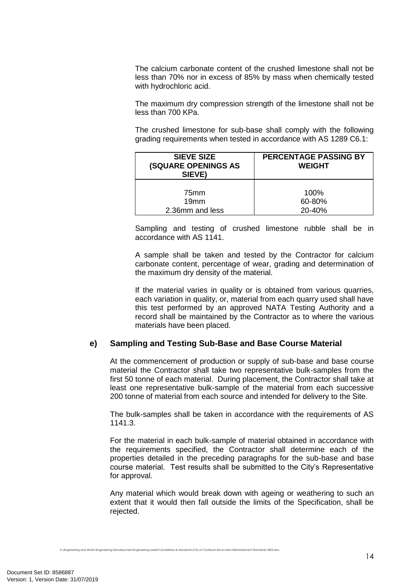The calcium carbonate content of the crushed limestone shall not be less than 70% nor in excess of 85% by mass when chemically tested with hydrochloric acid.

The maximum dry compression strength of the limestone shall not be less than 700 KPa.

The crushed limestone for sub-base shall comply with the following grading requirements when tested in accordance with AS 1289 C6.1:

| <b>SIEVE SIZE</b><br><b>(SQUARE OPENINGS AS</b><br>SIEVE) | <b>PERCENTAGE PASSING BY</b><br><b>WEIGHT</b> |
|-----------------------------------------------------------|-----------------------------------------------|
| 75mm                                                      | 100%                                          |
| 19mm                                                      | 60-80%                                        |
| 2.36mm and less                                           | 20-40%                                        |

Sampling and testing of crushed limestone rubble shall be in accordance with AS 1141.

A sample shall be taken and tested by the Contractor for calcium carbonate content, percentage of wear, grading and determination of the maximum dry density of the material.

If the material varies in quality or is obtained from various quarries, each variation in quality, or, material from each quarry used shall have this test performed by an approved NATA Testing Authority and a record shall be maintained by the Contractor as to where the various materials have been placed.

#### **e) Sampling and Testing Sub-Base and Base Course Material**

At the commencement of production or supply of sub-base and base course material the Contractor shall take two representative bulk-samples from the first 50 tonne of each material. During placement, the Contractor shall take at least one representative bulk-sample of the material from each successive 200 tonne of material from each source and intended for delivery to the Site.

The bulk-samples shall be taken in accordance with the requirements of AS 1141.3.

For the material in each bulk-sample of material obtained in accordance with the requirements specified, the Contractor shall determine each of the properties detailed in the preceding paragraphs for the sub-base and base course material. Test results shall be submitted to the City's Representative for approval.

Any material which would break down with ageing or weathering to such an extent that it would then fall outside the limits of the Specification, shall be rejected.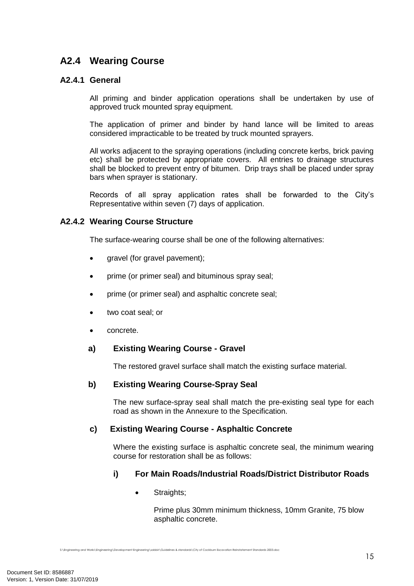# **A2.4 Wearing Course**

#### **A2.4.1 General**

All priming and binder application operations shall be undertaken by use of approved truck mounted spray equipment.

The application of primer and binder by hand lance will be limited to areas considered impracticable to be treated by truck mounted sprayers.

All works adjacent to the spraying operations (including concrete kerbs, brick paving etc) shall be protected by appropriate covers. All entries to drainage structures shall be blocked to prevent entry of bitumen. Drip trays shall be placed under spray bars when sprayer is stationary.

Records of all spray application rates shall be forwarded to the City's Representative within seven (7) days of application.

#### **A2.4.2 Wearing Course Structure**

The surface-wearing course shall be one of the following alternatives:

- gravel (for gravel pavement);
- prime (or primer seal) and bituminous spray seal;
- prime (or primer seal) and asphaltic concrete seal;
- two coat seal; or
- concrete.

#### **a) Existing Wearing Course - Gravel**

The restored gravel surface shall match the existing surface material.

#### **b) Existing Wearing Course-Spray Seal**

The new surface-spray seal shall match the pre-existing seal type for each road as shown in the Annexure to the Specification.

#### **c) Existing Wearing Course - Asphaltic Concrete**

Where the existing surface is asphaltic concrete seal, the minimum wearing course for restoration shall be as follows:

#### **i) For Main Roads/Industrial Roads/District Distributor Roads**

• Straights;

Prime plus 30mm minimum thickness, 10mm Granite, 75 blow asphaltic concrete.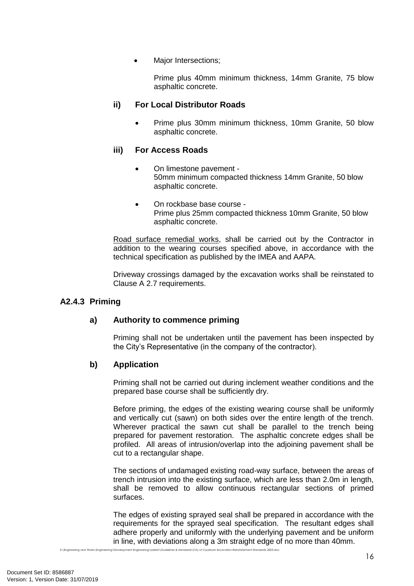Major Intersections;

Prime plus 40mm minimum thickness, 14mm Granite, 75 blow asphaltic concrete.

#### **ii) For Local Distributor Roads**

 Prime plus 30mm minimum thickness, 10mm Granite, 50 blow asphaltic concrete.

#### **iii) For Access Roads**

- On limestone pavement 50mm minimum compacted thickness 14mm Granite, 50 blow asphaltic concrete.
- On rockbase base course -Prime plus 25mm compacted thickness 10mm Granite, 50 blow asphaltic concrete.

Road surface remedial works, shall be carried out by the Contractor in addition to the wearing courses specified above, in accordance with the technical specification as published by the IMEA and AAPA.

Driveway crossings damaged by the excavation works shall be reinstated to Clause A 2.7 requirements.

#### **A2.4.3 Priming**

## **a) Authority to commence priming**

Priming shall not be undertaken until the pavement has been inspected by the City's Representative (in the company of the contractor).

#### **b) Application**

Priming shall not be carried out during inclement weather conditions and the prepared base course shall be sufficiently dry.

Before priming, the edges of the existing wearing course shall be uniformly and vertically cut (sawn) on both sides over the entire length of the trench. Wherever practical the sawn cut shall be parallel to the trench being prepared for pavement restoration. The asphaltic concrete edges shall be profiled. All areas of intrusion/overlap into the adjoining pavement shall be cut to a rectangular shape.

The sections of undamaged existing road-way surface, between the areas of trench intrusion into the existing surface, which are less than 2.0m in length, shall be removed to allow continuous rectangular sections of primed surfaces.

The edges of existing sprayed seal shall be prepared in accordance with the requirements for the sprayed seal specification. The resultant edges shall adhere properly and uniformly with the underlying pavement and be uniform in line, with deviations along a 3m straight edge of no more than 40mm.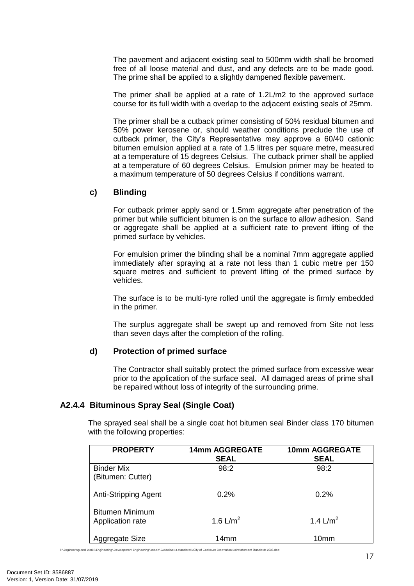The pavement and adjacent existing seal to 500mm width shall be broomed free of all loose material and dust, and any defects are to be made good. The prime shall be applied to a slightly dampened flexible pavement.

The primer shall be applied at a rate of 1.2L/m2 to the approved surface course for its full width with a overlap to the adjacent existing seals of 25mm.

The primer shall be a cutback primer consisting of 50% residual bitumen and 50% power kerosene or, should weather conditions preclude the use of cutback primer, the City's Representative may approve a 60/40 cationic bitumen emulsion applied at a rate of 1.5 litres per square metre, measured at a temperature of 15 degrees Celsius. The cutback primer shall be applied at a temperature of 60 degrees Celsius. Emulsion primer may be heated to a maximum temperature of 50 degrees Celsius if conditions warrant.

#### **c) Blinding**

For cutback primer apply sand or 1.5mm aggregate after penetration of the primer but while sufficient bitumen is on the surface to allow adhesion. Sand or aggregate shall be applied at a sufficient rate to prevent lifting of the primed surface by vehicles.

For emulsion primer the blinding shall be a nominal 7mm aggregate applied immediately after spraying at a rate not less than 1 cubic metre per 150 square metres and sufficient to prevent lifting of the primed surface by vehicles.

The surface is to be multi-tyre rolled until the aggregate is firmly embedded in the primer.

The surplus aggregate shall be swept up and removed from Site not less than seven days after the completion of the rolling.

#### **d) Protection of primed surface**

The Contractor shall suitably protect the primed surface from excessive wear prior to the application of the surface seal. All damaged areas of prime shall be repaired without loss of integrity of the surrounding prime.

## **A2.4.4 Bituminous Spray Seal (Single Coat)**

The sprayed seal shall be a single coat hot bitumen seal Binder class 170 bitumen with the following properties:

| <b>PROPERTY</b>                            | <b>14mm AGGREGATE</b><br><b>SEAL</b> | <b>10mm AGGREGATE</b><br><b>SEAL</b> |
|--------------------------------------------|--------------------------------------|--------------------------------------|
| <b>Binder Mix</b><br>(Bitumen: Cutter)     | 98:2                                 | 98:2                                 |
| Anti-Stripping Agent                       | 0.2%                                 | 0.2%                                 |
| <b>Bitumen Minimum</b><br>Application rate | 1.6 $L/m^2$                          | 1.4 $L/m^2$                          |
| Aggregate Size                             | 14mm                                 | 10mm                                 |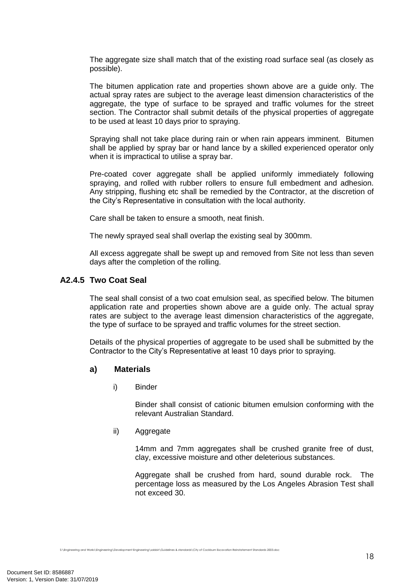The aggregate size shall match that of the existing road surface seal (as closely as possible).

The bitumen application rate and properties shown above are a guide only. The actual spray rates are subject to the average least dimension characteristics of the aggregate, the type of surface to be sprayed and traffic volumes for the street section. The Contractor shall submit details of the physical properties of aggregate to be used at least 10 days prior to spraying.

Spraying shall not take place during rain or when rain appears imminent. Bitumen shall be applied by spray bar or hand lance by a skilled experienced operator only when it is impractical to utilise a spray bar.

Pre-coated cover aggregate shall be applied uniformly immediately following spraying, and rolled with rubber rollers to ensure full embedment and adhesion. Any stripping, flushing etc shall be remedied by the Contractor, at the discretion of the City's Representative in consultation with the local authority.

Care shall be taken to ensure a smooth, neat finish.

The newly sprayed seal shall overlap the existing seal by 300mm.

All excess aggregate shall be swept up and removed from Site not less than seven days after the completion of the rolling.

#### **A2.4.5 Two Coat Seal**

The seal shall consist of a two coat emulsion seal, as specified below. The bitumen application rate and properties shown above are a guide only. The actual spray rates are subject to the average least dimension characteristics of the aggregate, the type of surface to be sprayed and traffic volumes for the street section.

Details of the physical properties of aggregate to be used shall be submitted by the Contractor to the City's Representative at least 10 days prior to spraying.

#### **a) Materials**

i) Binder

Binder shall consist of cationic bitumen emulsion conforming with the relevant Australian Standard.

ii) Aggregate

14mm and 7mm aggregates shall be crushed granite free of dust, clay, excessive moisture and other deleterious substances.

Aggregate shall be crushed from hard, sound durable rock. The percentage loss as measured by the Los Angeles Abrasion Test shall not exceed 30.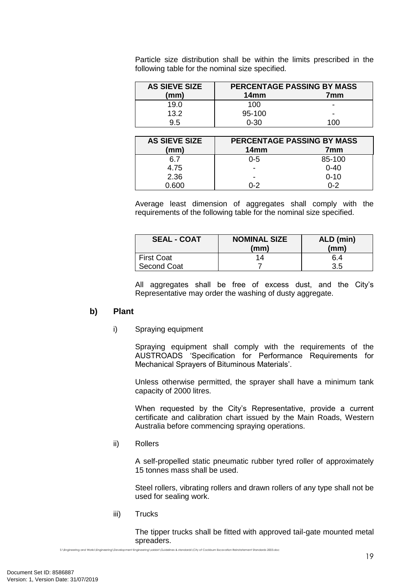Particle size distribution shall be within the limits prescribed in the following table for the nominal size specified.

| <b>AS SIEVE SIZE</b> | PERCENTAGE PASSING BY MASS |      |
|----------------------|----------------------------|------|
| (mm)                 | 14 <sub>mm</sub>           | 7mm  |
| 19.0                 | 100                        | -    |
| 13.2                 | $95-100$                   | -    |
| 9.5                  | 0-30                       | 1 በበ |

| <b>AS SIEVE SIZE</b> | PERCENTAGE PASSING BY MASS |          |
|----------------------|----------------------------|----------|
| (mm)                 | 14mm                       | 7mm      |
| հ 7                  | $0 - 5$                    | 85-100   |
| 4.75                 | -                          | $0 - 40$ |
| 2.36                 | -                          | $0 - 10$ |
| n RUU                | በ-2                        | በ-2      |

Average least dimension of aggregates shall comply with the requirements of the following table for the nominal size specified.

| <b>SEAL - COAT</b> | <b>NOMINAL SIZE</b><br>(mm) | ALD (min)<br>(mm) |
|--------------------|-----------------------------|-------------------|
| <b>First Coat</b>  | 14                          | 6.4               |
| Second Coat        |                             | 3.5               |

All aggregates shall be free of excess dust, and the City's Representative may order the washing of dusty aggregate.

#### **b) Plant**

i) Spraying equipment

Spraying equipment shall comply with the requirements of the AUSTROADS 'Specification for Performance Requirements for Mechanical Sprayers of Bituminous Materials'.

Unless otherwise permitted, the sprayer shall have a minimum tank capacity of 2000 litres.

When requested by the City's Representative, provide a current certificate and calibration chart issued by the Main Roads, Western Australia before commencing spraying operations.

ii) Rollers

A self-propelled static pneumatic rubber tyred roller of approximately 15 tonnes mass shall be used.

Steel rollers, vibrating rollers and drawn rollers of any type shall not be used for sealing work.

iii) Trucks

The tipper trucks shall be fitted with approved tail-gate mounted metal spreaders.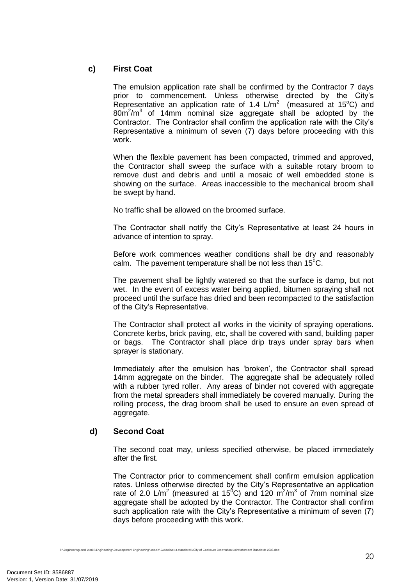## **c) First Coat**

The emulsion application rate shall be confirmed by the Contractor 7 days prior to commencement. Unless otherwise directed by the City's Representative an application rate of 1.4  $\text{L/m}^2$  (measured at 15°C) and  $80m^2/m^3$  of 14mm nominal size aggregate shall be adopted by the Contractor. The Contractor shall confirm the application rate with the City's Representative a minimum of seven (7) days before proceeding with this work.

When the flexible pavement has been compacted, trimmed and approved, the Contractor shall sweep the surface with a suitable rotary broom to remove dust and debris and until a mosaic of well embedded stone is showing on the surface. Areas inaccessible to the mechanical broom shall be swept by hand.

No traffic shall be allowed on the broomed surface.

The Contractor shall notify the City's Representative at least 24 hours in advance of intention to spray.

Before work commences weather conditions shall be dry and reasonably calm. The pavement temperature shall be not less than  $15^{\circ}$ C.

The pavement shall be lightly watered so that the surface is damp, but not wet. In the event of excess water being applied, bitumen spraying shall not proceed until the surface has dried and been recompacted to the satisfaction of the City's Representative.

The Contractor shall protect all works in the vicinity of spraying operations. Concrete kerbs, brick paving, etc, shall be covered with sand, building paper or bags. The Contractor shall place drip trays under spray bars when sprayer is stationary.

Immediately after the emulsion has 'broken', the Contractor shall spread 14mm aggregate on the binder. The aggregate shall be adequately rolled with a rubber tyred roller. Any areas of binder not covered with aggregate from the metal spreaders shall immediately be covered manually. During the rolling process, the drag broom shall be used to ensure an even spread of aggregate.

## **d) Second Coat**

The second coat may, unless specified otherwise, be placed immediately after the first.

The Contractor prior to commencement shall confirm emulsion application rates. Unless otherwise directed by the City's Representative an application rate of 2.0 L/m<sup>2</sup> (measured at 15<sup>0</sup>C) and 120 m<sup>2</sup>/m<sup>3</sup> of 7mm nominal size aggregate shall be adopted by the Contractor. The Contractor shall confirm such application rate with the City's Representative a minimum of seven (7) days before proceeding with this work.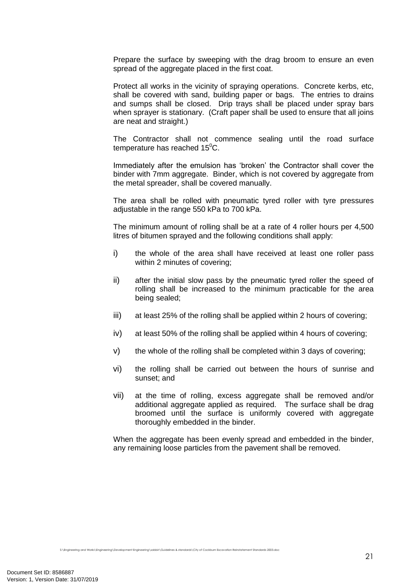Prepare the surface by sweeping with the drag broom to ensure an even spread of the aggregate placed in the first coat.

Protect all works in the vicinity of spraying operations. Concrete kerbs, etc, shall be covered with sand, building paper or bags. The entries to drains and sumps shall be closed. Drip trays shall be placed under spray bars when sprayer is stationary. (Craft paper shall be used to ensure that all joins are neat and straight.)

The Contractor shall not commence sealing until the road surface temperature has reached  $15^{\circ}$ C.

Immediately after the emulsion has 'broken' the Contractor shall cover the binder with 7mm aggregate. Binder, which is not covered by aggregate from the metal spreader, shall be covered manually.

The area shall be rolled with pneumatic tyred roller with tyre pressures adjustable in the range 550 kPa to 700 kPa.

The minimum amount of rolling shall be at a rate of 4 roller hours per 4,500 litres of bitumen sprayed and the following conditions shall apply:

- i) the whole of the area shall have received at least one roller pass within 2 minutes of covering;
- ii) after the initial slow pass by the pneumatic tyred roller the speed of rolling shall be increased to the minimum practicable for the area being sealed;
- iii) at least 25% of the rolling shall be applied within 2 hours of covering;
- iv) at least 50% of the rolling shall be applied within 4 hours of covering;
- v) the whole of the rolling shall be completed within 3 days of covering;
- vi) the rolling shall be carried out between the hours of sunrise and sunset; and
- vii) at the time of rolling, excess aggregate shall be removed and/or additional aggregate applied as required. The surface shall be drag broomed until the surface is uniformly covered with aggregate thoroughly embedded in the binder.

When the aggregate has been evenly spread and embedded in the binder, any remaining loose particles from the pavement shall be removed.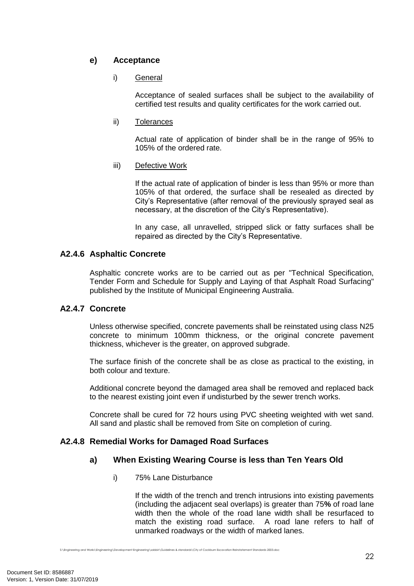## **e) Acceptance**

#### i) General

Acceptance of sealed surfaces shall be subject to the availability of certified test results and quality certificates for the work carried out.

#### ii) Tolerances

Actual rate of application of binder shall be in the range of 95% to 105% of the ordered rate.

#### iii) Defective Work

If the actual rate of application of binder is less than 95% or more than 105% of that ordered, the surface shall be resealed as directed by City's Representative (after removal of the previously sprayed seal as necessary, at the discretion of the City's Representative).

In any case, all unravelled, stripped slick or fatty surfaces shall be repaired as directed by the City's Representative.

## **A2.4.6 Asphaltic Concrete**

Asphaltic concrete works are to be carried out as per "Technical Specification, Tender Form and Schedule for Supply and Laying of that Asphalt Road Surfacing" published by the Institute of Municipal Engineering Australia.

#### **A2.4.7 Concrete**

Unless otherwise specified, concrete pavements shall be reinstated using class N25 concrete to minimum 100mm thickness, or the original concrete pavement thickness, whichever is the greater, on approved subgrade.

The surface finish of the concrete shall be as close as practical to the existing, in both colour and texture.

Additional concrete beyond the damaged area shall be removed and replaced back to the nearest existing joint even if undisturbed by the sewer trench works.

Concrete shall be cured for 72 hours using PVC sheeting weighted with wet sand. All sand and plastic shall be removed from Site on completion of curing.

## **A2.4.8 Remedial Works for Damaged Road Surfaces**

## **a) When Existing Wearing Course is less than Ten Years Old**

i) 75% Lane Disturbance

If the width of the trench and trench intrusions into existing pavements (including the adjacent seal overlaps) is greater than 75**%** of road lane width then the whole of the road lane width shall be resurfaced to match the existing road surface. A road lane refers to half of unmarked roadways or the width of marked lanes.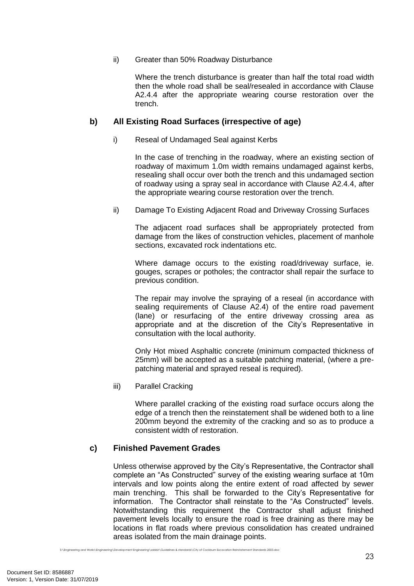#### ii) Greater than 50% Roadway Disturbance

Where the trench disturbance is greater than half the total road width then the whole road shall be seal/resealed in accordance with Clause A2.4.4 after the appropriate wearing course restoration over the trench.

## **b) All Existing Road Surfaces (irrespective of age)**

#### i) Reseal of Undamaged Seal against Kerbs

In the case of trenching in the roadway, where an existing section of roadway of maximum 1.0m width remains undamaged against kerbs, resealing shall occur over both the trench and this undamaged section of roadway using a spray seal in accordance with Clause A2.4.4, after the appropriate wearing course restoration over the trench.

ii) Damage To Existing Adjacent Road and Driveway Crossing Surfaces

The adjacent road surfaces shall be appropriately protected from damage from the likes of construction vehicles, placement of manhole sections, excavated rock indentations etc.

Where damage occurs to the existing road/driveway surface, ie. gouges, scrapes or potholes; the contractor shall repair the surface to previous condition.

The repair may involve the spraying of a reseal (in accordance with sealing requirements of Clause A2.4) of the entire road pavement (lane) or resurfacing of the entire driveway crossing area as appropriate and at the discretion of the City's Representative in consultation with the local authority.

Only Hot mixed Asphaltic concrete (minimum compacted thickness of 25mm) will be accepted as a suitable patching material, (where a prepatching material and sprayed reseal is required).

iii) Parallel Cracking

Where parallel cracking of the existing road surface occurs along the edge of a trench then the reinstatement shall be widened both to a line 200mm beyond the extremity of the cracking and so as to produce a consistent width of restoration.

## **c) Finished Pavement Grades**

Unless otherwise approved by the City's Representative, the Contractor shall complete an "As Constructed" survey of the existing wearing surface at 10m intervals and low points along the entire extent of road affected by sewer main trenching. This shall be forwarded to the City's Representative for information. The Contractor shall reinstate to the "As Constructed" levels. Notwithstanding this requirement the Contractor shall adjust finished pavement levels locally to ensure the road is free draining as there may be locations in flat roads where previous consolidation has created undrained areas isolated from the main drainage points.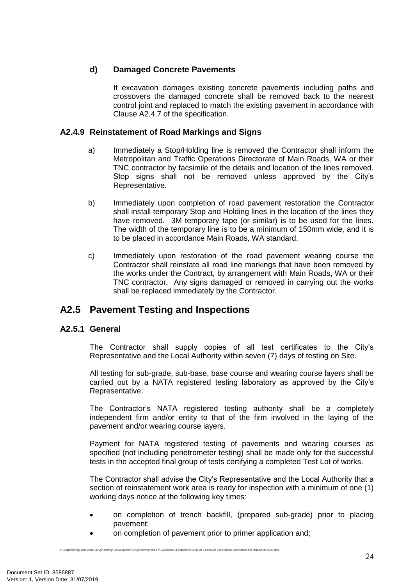## **d) Damaged Concrete Pavements**

If excavation damages existing concrete pavements including paths and crossovers the damaged concrete shall be removed back to the nearest control joint and replaced to match the existing pavement in accordance with Clause A2.4.7 of the specification.

#### **A2.4.9 Reinstatement of Road Markings and Signs**

- a) Immediately a Stop/Holding line is removed the Contractor shall inform the Metropolitan and Traffic Operations Directorate of Main Roads, WA or their TNC contractor by facsimile of the details and location of the lines removed. Stop signs shall not be removed unless approved by the City's Representative.
- b) Immediately upon completion of road pavement restoration the Contractor shall install temporary Stop and Holding lines in the location of the lines they have removed. 3M temporary tape (or similar) is to be used for the lines. The width of the temporary line is to be a minimum of 150mm wide, and it is to be placed in accordance Main Roads, WA standard.
- c) Immediately upon restoration of the road pavement wearing course the Contractor shall reinstate all road line markings that have been removed by the works under the Contract, by arrangement with Main Roads, WA or their TNC contractor. Any signs damaged or removed in carrying out the works shall be replaced immediately by the Contractor.

# **A2.5 Pavement Testing and Inspections**

## **A2.5.1 General**

The Contractor shall supply copies of all test certificates to the City's Representative and the Local Authority within seven (7) days of testing on Site.

All testing for sub-grade, sub-base, base course and wearing course layers shall be carried out by a NATA registered testing laboratory as approved by the City's Representative.

The Contractor's NATA registered testing authority shall be a completely independent firm and/or entity to that of the firm involved in the laying of the pavement and/or wearing course layers.

Payment for NATA registered testing of pavements and wearing courses as specified (not including penetrometer testing) shall be made only for the successful tests in the accepted final group of tests certifying a completed Test Lot of works.

The Contractor shall advise the City's Representative and the Local Authority that a section of reinstatement work area is ready for inspection with a minimum of one (1) working days notice at the following key times:

- on completion of trench backfill, (prepared sub-grade) prior to placing pavement;
- on completion of pavement prior to primer application and;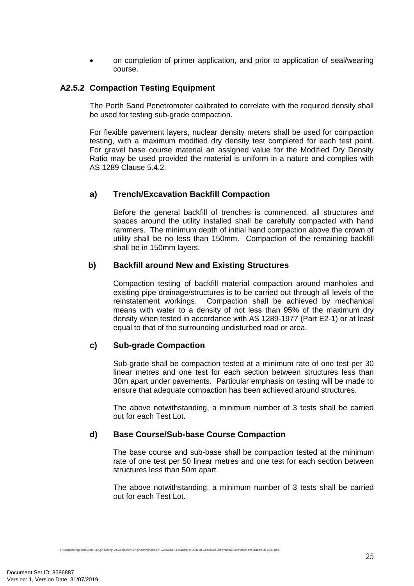on completion of primer application, and prior to application of seal/wearing course.

#### **A2.5.2 Compaction Testing Equipment**

The Perth Sand Penetrometer calibrated to correlate with the required density shall be used for testing sub-grade compaction.

For flexible pavement layers, nuclear density meters shall be used for compaction testing, with a maximum modified dry density test completed for each test point. For gravel base course material an assigned value for the Modified Dry Density Ratio may be used provided the material is uniform in a nature and complies with AS 1289 Clause 5.4.2.

#### **a) Trench/Excavation Backfill Compaction**

Before the general backfill of trenches is commenced, all structures and spaces around the utility installed shall be carefully compacted with hand rammers. The minimum depth of initial hand compaction above the crown of utility shall be no less than 150mm. Compaction of the remaining backfill shall be in 150mm layers.

#### **b) Backfill around New and Existing Structures**

Compaction testing of backfill material compaction around manholes and existing pipe drainage/structures is to be carried out through all levels of the reinstatement workings. Compaction shall be achieved by mechanical means with water to a density of not less than 95% of the maximum dry density when tested in accordance with AS 1289-1977 (Part E2-1) or at least equal to that of the surrounding undisturbed road or area.

#### **c) Sub-grade Compaction**

Sub-grade shall be compaction tested at a minimum rate of one test per 30 linear metres and one test for each section between structures less than 30m apart under pavements. Particular emphasis on testing will be made to ensure that adequate compaction has been achieved around structures.

The above notwithstanding, a minimum number of 3 tests shall be carried out for each Test Lot.

#### **d) Base Course/Sub-base Course Compaction**

The base course and sub-base shall be compaction tested at the minimum rate of one test per 50 linear metres and one test for each section between structures less than 50m apart.

The above notwithstanding, a minimum number of 3 tests shall be carried out for each Test Lot.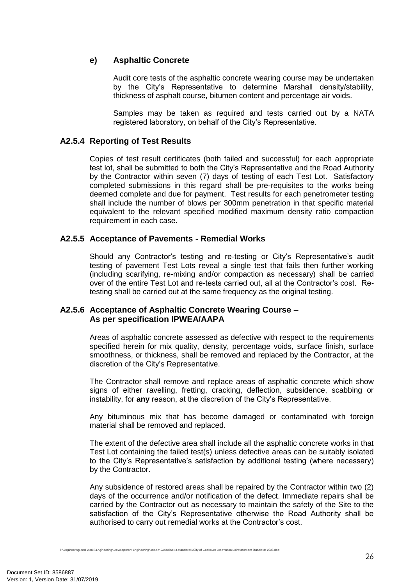## **e) Asphaltic Concrete**

Audit core tests of the asphaltic concrete wearing course may be undertaken by the City's Representative to determine Marshall density/stability, thickness of asphalt course, bitumen content and percentage air voids.

Samples may be taken as required and tests carried out by a NATA registered laboratory, on behalf of the City's Representative.

## **A2.5.4 Reporting of Test Results**

Copies of test result certificates (both failed and successful) for each appropriate test lot, shall be submitted to both the City's Representative and the Road Authority by the Contractor within seven (7) days of testing of each Test Lot. Satisfactory completed submissions in this regard shall be pre-requisites to the works being deemed complete and due for payment. Test results for each penetrometer testing shall include the number of blows per 300mm penetration in that specific material equivalent to the relevant specified modified maximum density ratio compaction requirement in each case.

## **A2.5.5 Acceptance of Pavements - Remedial Works**

Should any Contractor's testing and re-testing or City's Representative's audit testing of pavement Test Lots reveal a single test that fails then further working (including scarifying, re-mixing and/or compaction as necessary) shall be carried over of the entire Test Lot and re-tests carried out, all at the Contractor's cost. Retesting shall be carried out at the same frequency as the original testing.

## **A2.5.6 Acceptance of Asphaltic Concrete Wearing Course – As per specification IPWEA/AAPA**

Areas of asphaltic concrete assessed as defective with respect to the requirements specified herein for mix quality, density, percentage voids, surface finish, surface smoothness, or thickness, shall be removed and replaced by the Contractor, at the discretion of the City's Representative.

The Contractor shall remove and replace areas of asphaltic concrete which show signs of either ravelling, fretting, cracking, deflection, subsidence, scabbing or instability, for **any** reason, at the discretion of the City's Representative.

Any bituminous mix that has become damaged or contaminated with foreign material shall be removed and replaced.

The extent of the defective area shall include all the asphaltic concrete works in that Test Lot containing the failed test(s) unless defective areas can be suitably isolated to the City's Representative's satisfaction by additional testing (where necessary) by the Contractor.

Any subsidence of restored areas shall be repaired by the Contractor within two (2) days of the occurrence and/or notification of the defect. Immediate repairs shall be carried by the Contractor out as necessary to maintain the safety of the Site to the satisfaction of the City's Representative otherwise the Road Authority shall be authorised to carry out remedial works at the Contractor's cost.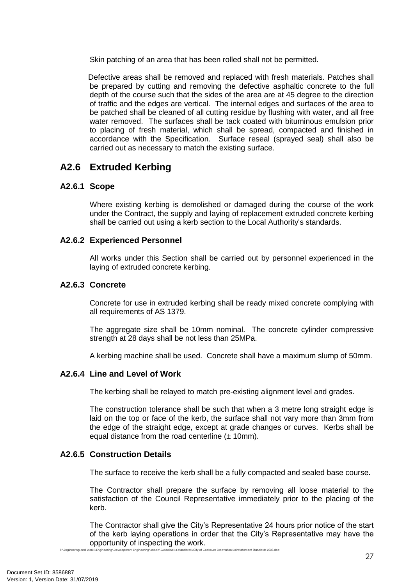Skin patching of an area that has been rolled shall not be permitted.

Defective areas shall be removed and replaced with fresh materials. Patches shall be prepared by cutting and removing the defective asphaltic concrete to the full depth of the course such that the sides of the area are at 45 degree to the direction of traffic and the edges are vertical. The internal edges and surfaces of the area to be patched shall be cleaned of all cutting residue by flushing with water, and all free water removed. The surfaces shall be tack coated with bituminous emulsion prior to placing of fresh material, which shall be spread, compacted and finished in accordance with the Specification. Surface reseal (sprayed seal) shall also be carried out as necessary to match the existing surface.

# **A2.6 Extruded Kerbing**

#### **A2.6.1 Scope**

Where existing kerbing is demolished or damaged during the course of the work under the Contract, the supply and laying of replacement extruded concrete kerbing shall be carried out using a kerb section to the Local Authority's standards.

## **A2.6.2 Experienced Personnel**

All works under this Section shall be carried out by personnel experienced in the laying of extruded concrete kerbing.

#### **A2.6.3 Concrete**

Concrete for use in extruded kerbing shall be ready mixed concrete complying with all requirements of AS 1379.

The aggregate size shall be 10mm nominal. The concrete cylinder compressive strength at 28 days shall be not less than 25MPa.

A kerbing machine shall be used. Concrete shall have a maximum slump of 50mm.

## **A2.6.4 Line and Level of Work**

The kerbing shall be relayed to match pre-existing alignment level and grades.

The construction tolerance shall be such that when a 3 metre long straight edge is laid on the top or face of the kerb, the surface shall not vary more than 3mm from the edge of the straight edge, except at grade changes or curves. Kerbs shall be equal distance from the road centerline  $(\pm 10$ mm).

## **A2.6.5 Construction Details**

The surface to receive the kerb shall be a fully compacted and sealed base course.

The Contractor shall prepare the surface by removing all loose material to the satisfaction of the Council Representative immediately prior to the placing of the kerb.

S:\Engineering and Works\Engineering\Development Engineering\sabbir\Guidelines & standards\City of Cockburn Excavation Reinstatement Standards 2003.doc The Contractor shall give the City's Representative 24 hours prior notice of the start of the kerb laying operations in order that the City's Representative may have the opportunity of inspecting the work.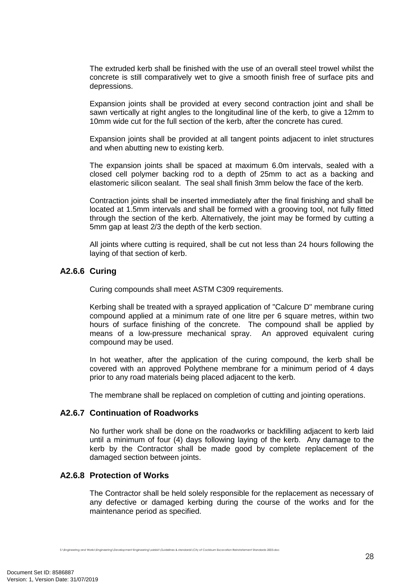The extruded kerb shall be finished with the use of an overall steel trowel whilst the concrete is still comparatively wet to give a smooth finish free of surface pits and depressions.

Expansion joints shall be provided at every second contraction joint and shall be sawn vertically at right angles to the longitudinal line of the kerb, to give a 12mm to 10mm wide cut for the full section of the kerb, after the concrete has cured.

Expansion joints shall be provided at all tangent points adjacent to inlet structures and when abutting new to existing kerb.

The expansion joints shall be spaced at maximum 6.0m intervals, sealed with a closed cell polymer backing rod to a depth of 25mm to act as a backing and elastomeric silicon sealant. The seal shall finish 3mm below the face of the kerb.

Contraction joints shall be inserted immediately after the final finishing and shall be located at 1.5mm intervals and shall be formed with a grooving tool, not fully fitted through the section of the kerb. Alternatively, the joint may be formed by cutting a 5mm gap at least 2/3 the depth of the kerb section.

All joints where cutting is required, shall be cut not less than 24 hours following the laying of that section of kerb.

#### **A2.6.6 Curing**

Curing compounds shall meet ASTM C309 requirements.

Kerbing shall be treated with a sprayed application of "Calcure D" membrane curing compound applied at a minimum rate of one litre per 6 square metres, within two hours of surface finishing of the concrete. The compound shall be applied by means of a low-pressure mechanical spray. An approved equivalent curing compound may be used.

In hot weather, after the application of the curing compound, the kerb shall be covered with an approved Polythene membrane for a minimum period of 4 days prior to any road materials being placed adjacent to the kerb.

The membrane shall be replaced on completion of cutting and jointing operations.

#### **A2.6.7 Continuation of Roadworks**

No further work shall be done on the roadworks or backfilling adjacent to kerb laid until a minimum of four (4) days following laying of the kerb. Any damage to the kerb by the Contractor shall be made good by complete replacement of the damaged section between joints.

#### **A2.6.8 Protection of Works**

The Contractor shall be held solely responsible for the replacement as necessary of any defective or damaged kerbing during the course of the works and for the maintenance period as specified.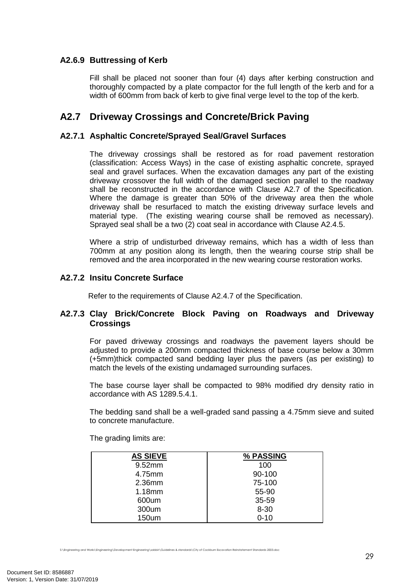## **A2.6.9 Buttressing of Kerb**

Fill shall be placed not sooner than four (4) days after kerbing construction and thoroughly compacted by a plate compactor for the full length of the kerb and for a width of 600mm from back of kerb to give final verge level to the top of the kerb.

# **A2.7 Driveway Crossings and Concrete/Brick Paving**

#### **A2.7.1 Asphaltic Concrete/Sprayed Seal/Gravel Surfaces**

The driveway crossings shall be restored as for road pavement restoration (classification: Access Ways) in the case of existing asphaltic concrete, sprayed seal and gravel surfaces. When the excavation damages any part of the existing driveway crossover the full width of the damaged section parallel to the roadway shall be reconstructed in the accordance with Clause A2.7 of the Specification. Where the damage is greater than 50% of the driveway area then the whole driveway shall be resurfaced to match the existing driveway surface levels and material type. (The existing wearing course shall be removed as necessary). Sprayed seal shall be a two (2) coat seal in accordance with Clause A2.4.5.

Where a strip of undisturbed driveway remains, which has a width of less than 700mm at any position along its length, then the wearing course strip shall be removed and the area incorporated in the new wearing course restoration works.

## **A2.7.2 Insitu Concrete Surface**

Refer to the requirements of Clause A2.4.7 of the Specification.

#### **A2.7.3 Clay Brick/Concrete Block Paving on Roadways and Driveway Crossings**

For paved driveway crossings and roadways the pavement layers should be adjusted to provide a 200mm compacted thickness of base course below a 30mm (+5mm)thick compacted sand bedding layer plus the pavers (as per existing) to match the levels of the existing undamaged surrounding surfaces.

The base course layer shall be compacted to 98% modified dry density ratio in accordance with AS 1289.5.4.1.

The bedding sand shall be a well-graded sand passing a 4.75mm sieve and suited to concrete manufacture.

The grading limits are:

| <b>AS SIEVE</b> | % PASSING |
|-----------------|-----------|
| 9.52mm          | 100       |
| 4.75mm          | 90-100    |
| 2.36mm          | 75-100    |
| 1.18mm          | 55-90     |
| 600um           | 35-59     |
| 300um           | $8 - 30$  |
| 150um           | $0 - 10$  |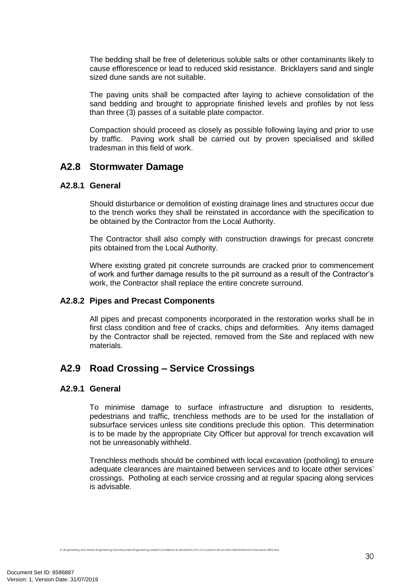The bedding shall be free of deleterious soluble salts or other contaminants likely to cause efflorescence or lead to reduced skid resistance. Bricklayers sand and single sized dune sands are not suitable.

The paving units shall be compacted after laying to achieve consolidation of the sand bedding and brought to appropriate finished levels and profiles by not less than three (3) passes of a suitable plate compactor.

Compaction should proceed as closely as possible following laying and prior to use by traffic. Paving work shall be carried out by proven specialised and skilled tradesman in this field of work.

## **A2.8 Stormwater Damage**

#### **A2.8.1 General**

Should disturbance or demolition of existing drainage lines and structures occur due to the trench works they shall be reinstated in accordance with the specification to be obtained by the Contractor from the Local Authority.

The Contractor shall also comply with construction drawings for precast concrete pits obtained from the Local Authority.

Where existing grated pit concrete surrounds are cracked prior to commencement of work and further damage results to the pit surround as a result of the Contractor's work, the Contractor shall replace the entire concrete surround.

## **A2.8.2 Pipes and Precast Components**

All pipes and precast components incorporated in the restoration works shall be in first class condition and free of cracks, chips and deformities. Any items damaged by the Contractor shall be rejected, removed from the Site and replaced with new materials.

# **A2.9 Road Crossing – Service Crossings**

## **A2.9.1 General**

To minimise damage to surface infrastructure and disruption to residents, pedestrians and traffic, trenchless methods are to be used for the installation of subsurface services unless site conditions preclude this option. This determination is to be made by the appropriate City Officer but approval for trench excavation will not be unreasonably withheld.

Trenchless methods should be combined with local excavation (potholing) to ensure adequate clearances are maintained between services and to locate other services' crossings. Potholing at each service crossing and at regular spacing along services is advisable.